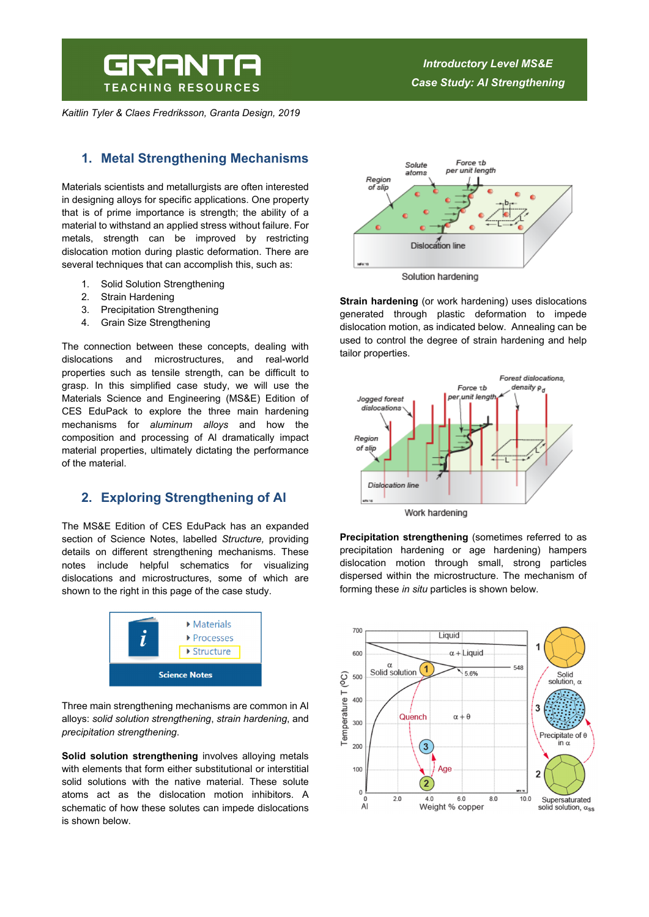# **GRANTA TEACHING RESOURCES**

*Kaitlin Tyler & Claes Fredriksson, Granta Design, 2019* 

## *Introductory Level MS&E Case Study: Al Strengthening*

# **1. Metal Strengthening Mechanisms**

Materials scientists and metallurgists are often interested in designing alloys for specific applications. One property that is of prime importance is strength; the ability of a material to withstand an applied stress without failure. For metals, strength can be improved by restricting dislocation motion during plastic deformation. There are several techniques that can accomplish this, such as:

- 1. Solid Solution Strengthening
- 2. Strain Hardening
- 3. Precipitation Strengthening
- 4. Grain Size Strengthening

The connection between these concepts, dealing with dislocations and microstructures, and real-world properties such as tensile strength, can be difficult to grasp. In this simplified case study, we will use the Materials Science and Engineering (MS&E) Edition of CES EduPack to explore the three main hardening mechanisms for *aluminum alloys* and how the composition and processing of Al dramatically impact material properties, ultimately dictating the performance of the material.

## **2. Exploring Strengthening of Al**

The MS&E Edition of CES EduPack has an expanded section of Science Notes, labelled *Structure,* providing details on different strengthening mechanisms. These notes include helpful schematics for visualizing dislocations and microstructures, some of which are shown to the right in this page of the case study.



Three main strengthening mechanisms are common in Al alloys: *solid solution strengthening*, *strain hardening*, and *precipitation strengthening*.

**Solid solution strengthening** involves alloying metals with elements that form either substitutional or interstitial solid solutions with the native material. These solute atoms act as the dislocation motion inhibitors. A schematic of how these solutes can impede dislocations is shown below.



**Strain hardening** (or work hardening) uses dislocations generated through plastic deformation to impede dislocation motion, as indicated below. Annealing can be used to control the degree of strain hardening and help tailor properties.



**Precipitation strengthening** (sometimes referred to as precipitation hardening or age hardening) hampers dislocation motion through small, strong particles dispersed within the microstructure. The mechanism of forming these *in situ* particles is shown below.